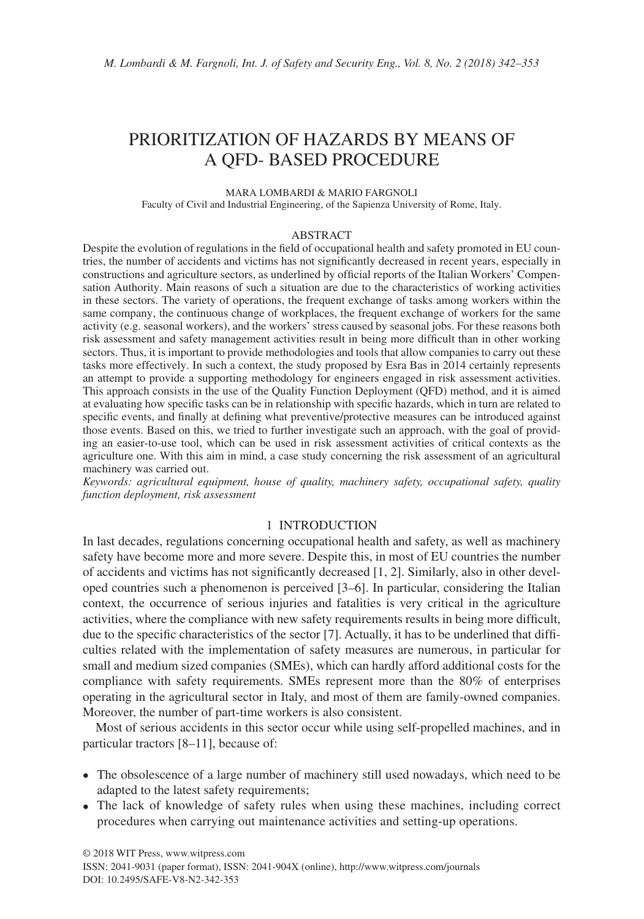# PRIORITIZATION OF HAZARDS BY MEANS OF A QFD- BASED PROCEDURE

MARA LOMBARDI & MARIO FARGNOLI

Faculty of Civil and Industrial Engineering, of the Sapienza University of Rome, Italy.

#### ABSTRACT

Despite the evolution of regulations in the field of occupational health and safety promoted in EU countries, the number of accidents and victims has not significantly decreased in recent years, especially in constructions and agriculture sectors, as underlined by official reports of the Italian Workers' Compensation Authority. Main reasons of such a situation are due to the characteristics of working activities in these sectors. The variety of operations, the frequent exchange of tasks among workers within the same company, the continuous change of workplaces, the frequent exchange of workers for the same activity (e.g. seasonal workers), and the workers' stress caused by seasonal jobs. For these reasons both risk assessment and safety management activities result in being more difficult than in other working sectors. Thus, it is important to provide methodologies and tools that allow companies to carry out these tasks more effectively. In such a context, the study proposed by Esra Bas in 2014 certainly represents an attempt to provide a supporting methodology for engineers engaged in risk assessment activities. This approach consists in the use of the Quality Function Deployment (QFD) method, and it is aimed at evaluating how specific tasks can be in relationship with specific hazards, which in turn are related to specific events, and finally at defining what preventive/protective measures can be introduced against those events. Based on this, we tried to further investigate such an approach, with the goal of providing an easier-to-use tool, which can be used in risk assessment activities of critical contexts as the agriculture one. With this aim in mind, a case study concerning the risk assessment of an agricultural machinery was carried out.

*Keywords: agricultural equipment, house of quality, machinery safety, occupational safety, quality function deployment, risk assessment*

## 1 INTRODUCTION

In last decades, regulations concerning occupational health and safety, as well as machinery safety have become more and more severe. Despite this, in most of EU countries the number of accidents and victims has not significantly decreased [1, 2]. Similarly, also in other developed countries such a phenomenon is perceived [3–6]. In particular, considering the Italian context, the occurrence of serious injuries and fatalities is very critical in the agriculture activities, where the compliance with new safety requirements results in being more difficult, due to the specific characteristics of the sector [7]. Actually, it has to be underlined that difficulties related with the implementation of safety measures are numerous, in particular for small and medium sized companies (SMEs), which can hardly afford additional costs for the compliance with safety requirements. SMEs represent more than the 80% of enterprises operating in the agricultural sector in Italy, and most of them are family-owned companies. Moreover, the number of part-time workers is also consistent.

Most of serious accidents in this sector occur while using self-propelled machines, and in particular tractors [8–11], because of:

- The obsolescence of a large number of machinery still used nowadays, which need to be adapted to the latest safety requirements;
- The lack of knowledge of safety rules when using these machines, including correct procedures when carrying out maintenance activities and setting-up operations.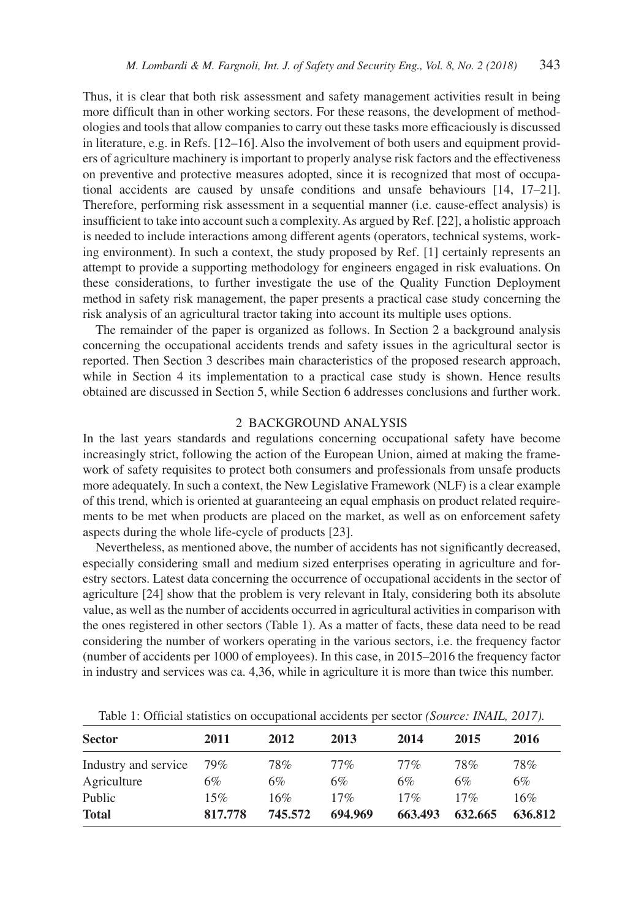Thus, it is clear that both risk assessment and safety management activities result in being more difficult than in other working sectors. For these reasons, the development of methodologies and tools that allow companies to carry out these tasks more efficaciously is discussed in literature, e.g. in Refs. [12–16]. Also the involvement of both users and equipment providers of agriculture machinery is important to properly analyse risk factors and the effectiveness on preventive and protective measures adopted, since it is recognized that most of occupational accidents are caused by unsafe conditions and unsafe behaviours [14, 17–21]. Therefore, performing risk assessment in a sequential manner (i.e. cause-effect analysis) is insufficient to take into account such a complexity. As argued by Ref. [22], a holistic approach is needed to include interactions among different agents (operators, technical systems, working environment). In such a context, the study proposed by Ref. [1] certainly represents an attempt to provide a supporting methodology for engineers engaged in risk evaluations. On these considerations, to further investigate the use of the Quality Function Deployment method in safety risk management, the paper presents a practical case study concerning the risk analysis of an agricultural tractor taking into account its multiple uses options.

The remainder of the paper is organized as follows. In Section 2 a background analysis concerning the occupational accidents trends and safety issues in the agricultural sector is reported. Then Section 3 describes main characteristics of the proposed research approach, while in Section 4 its implementation to a practical case study is shown. Hence results obtained are discussed in Section 5, while Section 6 addresses conclusions and further work.

#### 2 BACKGROUND ANALYSIS

In the last years standards and regulations concerning occupational safety have become increasingly strict, following the action of the European Union, aimed at making the framework of safety requisites to protect both consumers and professionals from unsafe products more adequately. In such a context, the New Legislative Framework (NLF) is a clear example of this trend, which is oriented at guaranteeing an equal emphasis on product related requirements to be met when products are placed on the market, as well as on enforcement safety aspects during the whole life-cycle of products [23].

Nevertheless, as mentioned above, the number of accidents has not significantly decreased, especially considering small and medium sized enterprises operating in agriculture and forestry sectors. Latest data concerning the occurrence of occupational accidents in the sector of agriculture [24] show that the problem is very relevant in Italy, considering both its absolute value, as well as the number of accidents occurred in agricultural activities in comparison with the ones registered in other sectors (Table 1). As a matter of facts, these data need to be read considering the number of workers operating in the various sectors, i.e. the frequency factor (number of accidents per 1000 of employees). In this case, in 2015–2016 the frequency factor in industry and services was ca. 4,36, while in agriculture it is more than twice this number.

| <b>Sector</b>        | 2011    | 2012    | 2013    | 2014    | 2015    | 2016    |  |  |  |
|----------------------|---------|---------|---------|---------|---------|---------|--|--|--|
| Industry and service | 79%     | 78%     | $77\%$  | $77\%$  | 78%     | 78%     |  |  |  |
| Agriculture          | 6%      | 6%      | 6%      | 6%      | 6%      | 6%      |  |  |  |
| Public               | 15%     | 16%     | 17%     | 17%     | 17%     | 16%     |  |  |  |
| <b>Total</b>         | 817.778 | 745.572 | 694.969 | 663.493 | 632.665 | 636.812 |  |  |  |

Table 1: Official statistics on occupational accidents per sector *(Source: INAIL, 2017).*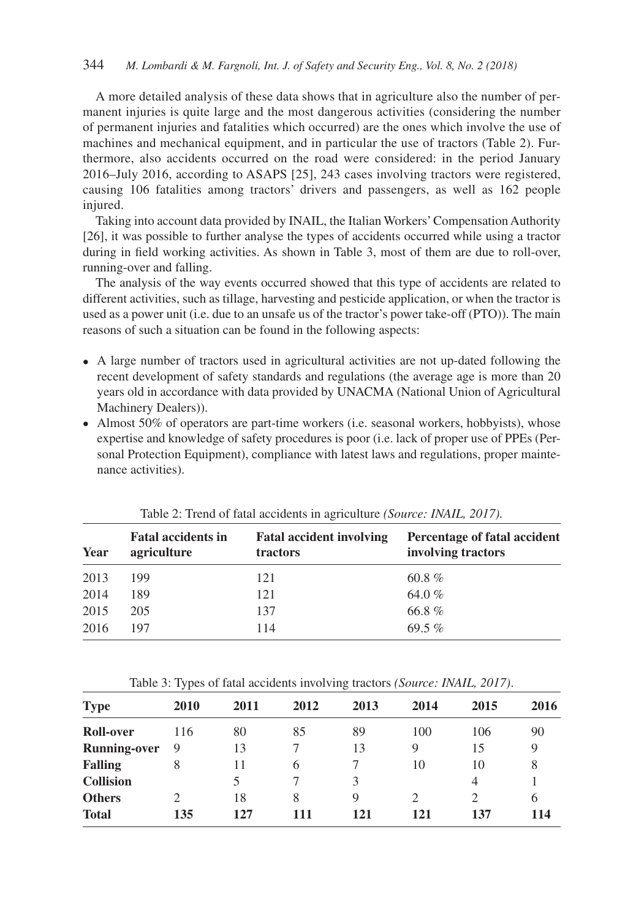A more detailed analysis of these data shows that in agriculture also the number of permanent injuries is quite large and the most dangerous activities (considering the number of permanent injuries and fatalities which occurred) are the ones which involve the use of machines and mechanical equipment, and in particular the use of tractors (Table 2). Furthermore, also accidents occurred on the road were considered: in the period January 2016–July 2016, according to ASAPS [25], 243 cases involving tractors were registered, causing 106 fatalities among tractors' drivers and passengers, as well as 162 people injured.

Taking into account data provided by INAIL, the Italian Workers' Compensation Authority [26], it was possible to further analyse the types of accidents occurred while using a tractor during in field working activities. As shown in Table 3, most of them are due to roll-over, running-over and falling.

The analysis of the way events occurred showed that this type of accidents are related to different activities, such as tillage, harvesting and pesticide application, or when the tractor is used as a power unit (i.e. due to an unsafe us of the tractor's power take-off (PTO)). The main reasons of such a situation can be found in the following aspects:

- A large number of tractors used in agricultural activities are not up-dated following the recent development of safety standards and regulations (the average age is more than 20 years old in accordance with data provided by UNACMA (National Union of Agricultural Machinery Dealers)).
- Almost 50% of operators are part-time workers (i.e. seasonal workers, hobbyists), whose expertise and knowledge of safety procedures is poor (i.e. lack of proper use of PPEs (Personal Protection Equipment), compliance with latest laws and regulations, proper maintenance activities).

| Year | <b>Fatal accidents in</b><br>agriculture | <b>Fatal accident involving</b><br>tractors | Percentage of fatal accident<br>involving tractors |
|------|------------------------------------------|---------------------------------------------|----------------------------------------------------|
| 2013 | 199                                      | 121                                         | 60.8 $%$                                           |
| 2014 | 189                                      | 121                                         | 64.0%                                              |
| 2015 | 205                                      | 137                                         | 66.8%                                              |
| 2016 | 197                                      | 114                                         | $69.5\%$                                           |

Table 2: Trend of fatal accidents in agriculture *(Source: INAIL, 2017).*

Table 3: Types of fatal accidents involving tractors *(Source: INAIL, 2017)*.

| <b>Type</b>         | 2010          | 2011 | 2012 | 2013        | 2014           | 2015 | 2016 |
|---------------------|---------------|------|------|-------------|----------------|------|------|
| Roll-over           | 116           | 80   | 85   | 89          | 100            | 106  | 90   |
| <b>Running-over</b> | 9             | 13   |      | 13          | 9              | 15   | 9    |
| <b>Falling</b>      | 8             | 11   | 6    |             | 10             | 10   | 8    |
| <b>Collision</b>    |               |      |      | 3           |                | 4    |      |
| <b>Others</b>       | $\mathcal{D}$ | 18   | 8    | $\mathbf Q$ | $\mathfrak{D}$ | 2    | 6    |
| <b>Total</b>        | 135           | 127  | 111  | 121         | 121            | 137  | 114  |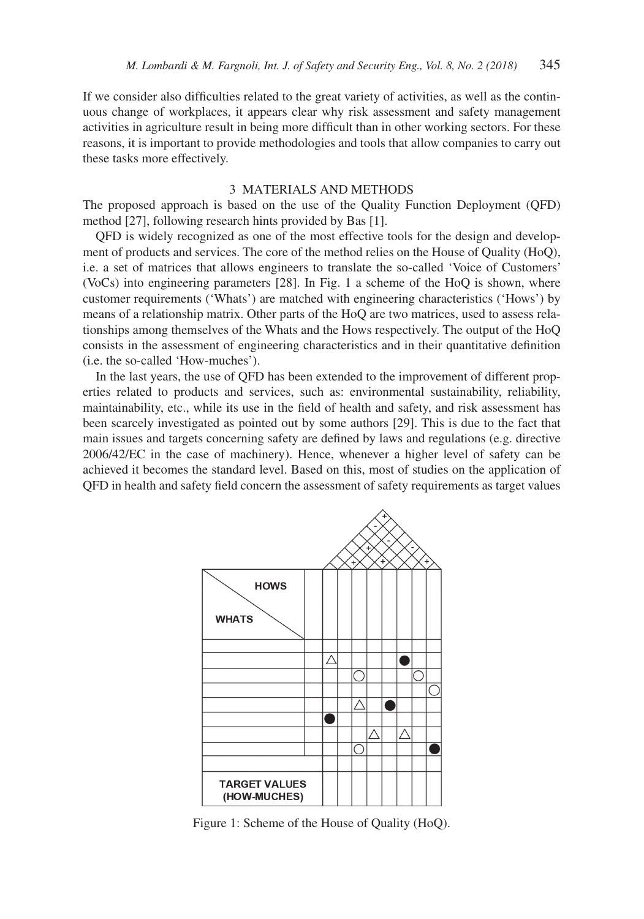If we consider also difficulties related to the great variety of activities, as well as the continuous change of workplaces, it appears clear why risk assessment and safety management activities in agriculture result in being more difficult than in other working sectors. For these reasons, it is important to provide methodologies and tools that allow companies to carry out these tasks more effectively.

### 3 MATERIALS AND METHODS

The proposed approach is based on the use of the Quality Function Deployment (QFD) method [27], following research hints provided by Bas [1].

QFD is widely recognized as one of the most effective tools for the design and development of products and services. The core of the method relies on the House of Quality (HoQ), i.e. a set of matrices that allows engineers to translate the so-called 'Voice of Customers' (VoCs) into engineering parameters [28]. In Fig. 1 a scheme of the HoQ is shown, where customer requirements ('Whats') are matched with engineering characteristics ('Hows') by means of a relationship matrix. Other parts of the HoQ are two matrices, used to assess relationships among themselves of the Whats and the Hows respectively. The output of the HoQ consists in the assessment of engineering characteristics and in their quantitative definition (i.e. the so-called 'How-muches').

In the last years, the use of QFD has been extended to the improvement of different properties related to products and services, such as: environmental sustainability, reliability, maintainability, etc., while its use in the field of health and safety, and risk assessment has been scarcely investigated as pointed out by some authors [29]. This is due to the fact that main issues and targets concerning safety are defined by laws and regulations (e.g. directive 2006/42/EC in the case of machinery). Hence, whenever a higher level of safety can be achieved it becomes the standard level. Based on this, most of studies on the application of QFD in health and safety field concern the assessment of safety requirements as target values



Figure 1: Scheme of the House of Quality (HoQ).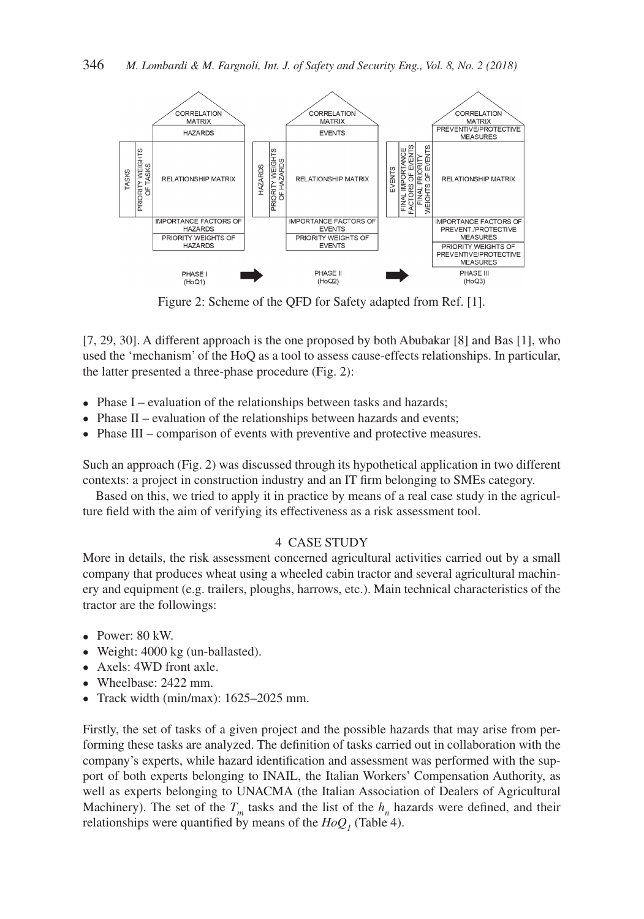

Figure 2: Scheme of the QFD for Safety adapted from Ref. [1].

[7, 29, 30]. A different approach is the one proposed by both Abubakar [8] and Bas [1], who used the 'mechanism' of the HoQ as a tool to assess cause-effects relationships. In particular, the latter presented a three-phase procedure (Fig. 2):

- Phase I evaluation of the relationships between tasks and hazards;
- Phase II evaluation of the relationships between hazards and events;
- Phase III comparison of events with preventive and protective measures.

Such an approach (Fig. 2) was discussed through its hypothetical application in two different contexts: a project in construction industry and an IT firm belonging to SMEs category.

Based on this, we tried to apply it in practice by means of a real case study in the agriculture field with the aim of verifying its effectiveness as a risk assessment tool.

#### 4 CASE STUDY

More in details, the risk assessment concerned agricultural activities carried out by a small company that produces wheat using a wheeled cabin tractor and several agricultural machinery and equipment (e.g. trailers, ploughs, harrows, etc.). Main technical characteristics of the tractor are the followings:

- Power: 80 kW.
- Weight: 4000 kg (un-ballasted).
- Axels: 4WD front axle.
- Wheelbase: 2422 mm.
- Track width (min/max): 1625–2025 mm.

Firstly, the set of tasks of a given project and the possible hazards that may arise from performing these tasks are analyzed. The definition of tasks carried out in collaboration with the company's experts, while hazard identification and assessment was performed with the support of both experts belonging to INAIL, the Italian Workers' Compensation Authority, as well as experts belonging to UNACMA (the Italian Association of Dealers of Agricultural Machinery). The set of the  $T_m$  tasks and the list of the  $h_n$  hazards were defined, and their relationships were quantified by means of the  $HoQ<sub>1</sub>$  (Table 4).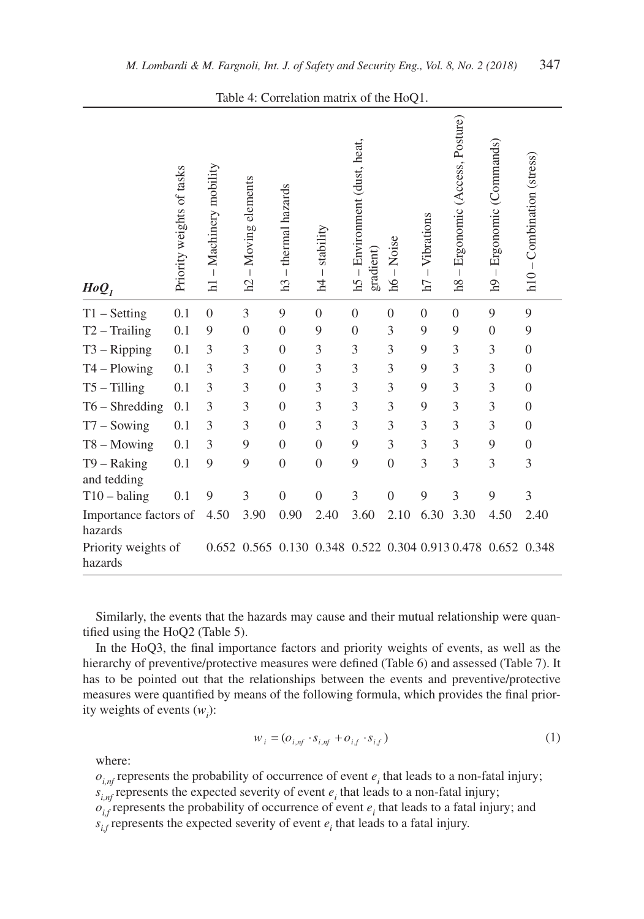| $HoQ_{I}$                        | Priority weights of tasks | $-Machinery$ mobility<br>$\overline{\mathbf{h}}$ | $-Moving$ elements<br>h2 | - thermal hazards<br>h3 | stability<br>$\overline{1}$<br>$\overline{A}$ | h5 – Environment (dust, heat,<br>gradient) | $-Noise$<br>ЯĮ   | $-Vibrations$<br>h7 | Ergonomic (Access, Posture)<br>$\mathbf{I}$<br>h8 | – Ergonomic (Commands)<br>$\mathbf{p}$                      | $h10 -$ Combination (stress) |
|----------------------------------|---------------------------|--------------------------------------------------|--------------------------|-------------------------|-----------------------------------------------|--------------------------------------------|------------------|---------------------|---------------------------------------------------|-------------------------------------------------------------|------------------------------|
| $T1 - Setting$                   | 0.1                       | $\mathbf{0}$                                     | 3                        | 9                       | $\mathbf{0}$                                  | $\theta$                                   | $\boldsymbol{0}$ | $\theta$            | $\mathbf{0}$                                      | 9                                                           | 9                            |
| $T2 - Training$                  | 0.1                       | 9                                                | $\boldsymbol{0}$         | $\mathbf{0}$            | 9                                             | $\theta$                                   | $\mathfrak{Z}$   | 9                   | 9                                                 | $\boldsymbol{0}$                                            | 9                            |
| $T3 - Ripping$                   | 0.1                       | 3                                                | 3                        | $\boldsymbol{0}$        | 3                                             | 3                                          | 3                | 9                   | 3                                                 | 3                                                           | $\mathbf{0}$                 |
| $T4 - Plowing$                   | 0.1                       | 3                                                | 3                        | $\boldsymbol{0}$        | 3                                             | 3                                          | 3                | 9                   | 3                                                 | 3                                                           | $\boldsymbol{0}$             |
| $T5 - Tilling$                   | 0.1                       | 3                                                | 3                        | $\boldsymbol{0}$        | 3                                             | 3                                          | 3                | 9                   | 3                                                 | 3                                                           | $\mathbf{0}$                 |
| $T6 - Shredding$                 | 0.1                       | 3                                                | 3                        | $\boldsymbol{0}$        | 3                                             | 3                                          | 3                | 9                   | 3                                                 | 3                                                           | $\boldsymbol{0}$             |
| $T7 -$ Sowing                    | 0.1                       | 3                                                | 3                        | $\mathbf{0}$            | 3                                             | 3                                          | 3                | 3                   | 3                                                 | 3                                                           | $\mathbf{0}$                 |
| $T8 - Moving$                    | 0.1                       | 3                                                | 9                        | $\theta$                | $\mathbf{0}$                                  | 9                                          | 3                | $\overline{3}$      | 3                                                 | 9                                                           | $\mathbf{0}$                 |
| $T9 - Raking$<br>and tedding     | 0.1                       | 9                                                | 9                        | $\overline{0}$          | $\theta$                                      | 9                                          | $\overline{0}$   | 3                   | $\overline{3}$                                    | 3                                                           | 3                            |
| $T10 - \text{baling}$            | 0.1                       | 9                                                | 3                        | $\overline{0}$          | $\overline{0}$                                | 3                                          | $\overline{0}$   | 9                   | $\overline{3}$                                    | 9                                                           | 3                            |
| Importance factors of<br>hazards |                           | 4.50                                             | 3.90                     | 0.90                    | 2.40                                          | 3.60                                       | 2.10             | 6.30                | 3.30                                              | 4.50                                                        | 2.40                         |
| Priority weights of<br>hazards   |                           |                                                  |                          |                         |                                               |                                            |                  |                     |                                                   | 0.652 0.565 0.130 0.348 0.522 0.304 0.913 0.478 0.652 0.348 |                              |

Table 4: Correlation matrix of the HoQ1.

Similarly, the events that the hazards may cause and their mutual relationship were quantified using the HoQ2 (Table 5).

In the HoQ3, the final importance factors and priority weights of events, as well as the hierarchy of preventive/protective measures were defined (Table 6) and assessed (Table 7). It has to be pointed out that the relationships between the events and preventive/protective measures were quantified by means of the following formula, which provides the final priority weights of events  $(w_i)$ :

$$
w_i = (o_{i,nf} \cdot s_{i,nf} + o_{i,f} \cdot s_{i,f})
$$
\n<sup>(1)</sup>

where:

 $o_{i, nf}$  represents the probability of occurrence of event  $e_i$  that leads to a non-fatal injury;  $s_{i, nf}$  represents the expected severity of event  $e_i$  that leads to a non-fatal injury;  $o_{i,f}$  represents the probability of occurrence of event  $e_i$  that leads to a fatal injury; and

 $s_{i,f}$  represents the expected severity of event  $e_i$  that leads to a fatal injury.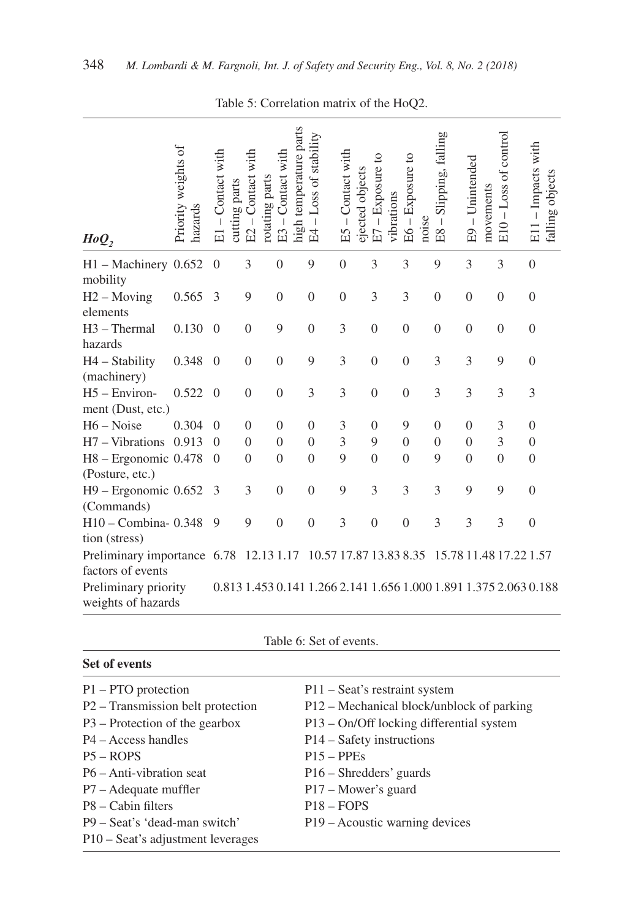| HoQ,                                             | Priority weights of<br>hazards | - Contact with<br>cutting parts<br>E1 | Contact with<br>rotating parts<br>$\overline{1}$<br>E2 | high temperature parts<br>Contact with<br>E3 | Loss of stability<br>$\mathbf{I}$<br>E4 | E5 - Contact with<br>ejected objects | Exposure to<br>vibrations<br>$\vert$<br>E7 | Exposure to<br>noise<br>$E6 -$ | Slipping, falling<br>$\mathbf I$<br>E8 | E9 - Unintended<br>movements | -Loss of control<br>E10 | E11-Impacts with<br>falling objects                               |
|--------------------------------------------------|--------------------------------|---------------------------------------|--------------------------------------------------------|----------------------------------------------|-----------------------------------------|--------------------------------------|--------------------------------------------|--------------------------------|----------------------------------------|------------------------------|-------------------------|-------------------------------------------------------------------|
| $H1 - \text{Machinery } 0.652$<br>mobility       |                                | $\theta$                              | 3                                                      | $\mathbf{0}$                                 | 9                                       | $\boldsymbol{0}$                     | 3                                          | 3                              | 9                                      | 3                            | 3                       | $\overline{0}$                                                    |
| $H2 - Moving$<br>elements                        | 0.565                          | 3                                     | 9                                                      | $\mathbf{0}$                                 | $\mathbf{0}$                            | $\boldsymbol{0}$                     | 3                                          | 3                              | $\mathbf{0}$                           | $\boldsymbol{0}$             | $\mathbf{0}$            | $\boldsymbol{0}$                                                  |
| H3 - Thermal<br>hazards                          | 0.130                          | $\overline{0}$                        | $\overline{0}$                                         | 9                                            | $\mathbf{0}$                            | 3                                    | $\boldsymbol{0}$                           | $\boldsymbol{0}$               | $\mathbf{0}$                           | $\boldsymbol{0}$             | $\boldsymbol{0}$        | $\overline{0}$                                                    |
| $H4 - Stability$<br>(machinery)                  | 0.348                          | $\Omega$                              | $\Omega$                                               | $\Omega$                                     | 9                                       | 3                                    | $\theta$                                   | $\boldsymbol{0}$               | 3                                      | 3                            | 9                       | $\mathbf{0}$                                                      |
| H5 - Environ-<br>ment (Dust, etc.)               | 0.522                          | $\overline{0}$                        | $\mathbf{0}$                                           | $\boldsymbol{0}$                             | 3                                       | $\overline{3}$                       | $\boldsymbol{0}$                           | $\boldsymbol{0}$               | 3                                      | 3                            | 3                       | 3                                                                 |
| $H6 - Noise$                                     | 0.304                          | $\theta$                              | $\overline{0}$                                         | $\theta$                                     | $\overline{0}$                          | 3                                    | $\overline{0}$                             | 9                              | $\theta$                               | $\theta$                     | 3                       | $\mathbf{0}$                                                      |
| H7 - Vibrations                                  | 0.913                          | $\Omega$                              | $\mathbf{0}$                                           | $\theta$                                     | $\mathbf{0}$                            | 3                                    | 9                                          | $\overline{0}$                 | $\theta$                               | $\theta$                     | $\overline{3}$          | $\mathbf{0}$                                                      |
| H8 - Ergonomic 0.478<br>(Posture, etc.)          |                                | $\theta$                              | $\overline{0}$                                         | $\overline{0}$                               | $\mathbf{0}$                            | 9                                    | $\boldsymbol{0}$                           | $\boldsymbol{0}$               | 9                                      | $\boldsymbol{0}$             | $\mathbf{0}$            | $\boldsymbol{0}$                                                  |
| $H9$ – Ergonomic 0.652<br>(Commands)             |                                | 3                                     | 3                                                      | $\Omega$                                     | $\theta$                                | 9                                    | 3                                          | 3                              | 3                                      | 9                            | 9                       | $\mathbf{0}$                                                      |
| H10 - Combina-0.348<br>tion (stress)             |                                | 9                                     | 9                                                      | $\boldsymbol{0}$                             | $\boldsymbol{0}$                        | 3                                    | $\boldsymbol{0}$                           | $\boldsymbol{0}$               | 3                                      | 3                            | 3                       | $\boldsymbol{0}$                                                  |
| Preliminary importance 6.78<br>factors of events |                                |                                       | 12.13 1.17                                             |                                              |                                         |                                      | 10.57 17.87 13.83 8.35                     |                                |                                        | 15.78 11.48 17.22 1.57       |                         |                                                                   |
| Preliminary priority<br>weights of hazards       |                                |                                       |                                                        |                                              |                                         |                                      |                                            |                                |                                        |                              |                         | 0.813 1.453 0.141 1.266 2.141 1.656 1.000 1.891 1.375 2.063 0.188 |

Table 5: Correlation matrix of the HoQ2.

| Table 6: Set of events. |  |
|-------------------------|--|
|-------------------------|--|

| Set of events                     |                                           |
|-----------------------------------|-------------------------------------------|
| $P1 - PTO$ protection             | P11 – Seat's restraint system             |
| P2 – Transmission belt protection | P12 – Mechanical block/unblock of parking |
| $P3$ – Protection of the gearbox  | P13 – On/Off locking differential system  |
| $P4 - Access$ handles             | $P14 - Safety$ instructions               |
| $P5 - ROPS$                       | $P15 - PPEs$                              |
| $P6 - Anti-vibration$ seat        | P <sub>16</sub> – Shredders' guards       |
| $P7 - A$ dequate muffler          | P17 – Mower's guard                       |
| $P8 -$ Cabin filters              | $P18 - FOPS$                              |
| P9 – Seat's 'dead-man switch'     | P19 – Acoustic warning devices            |
| P10 – Seat's adjustment leverages |                                           |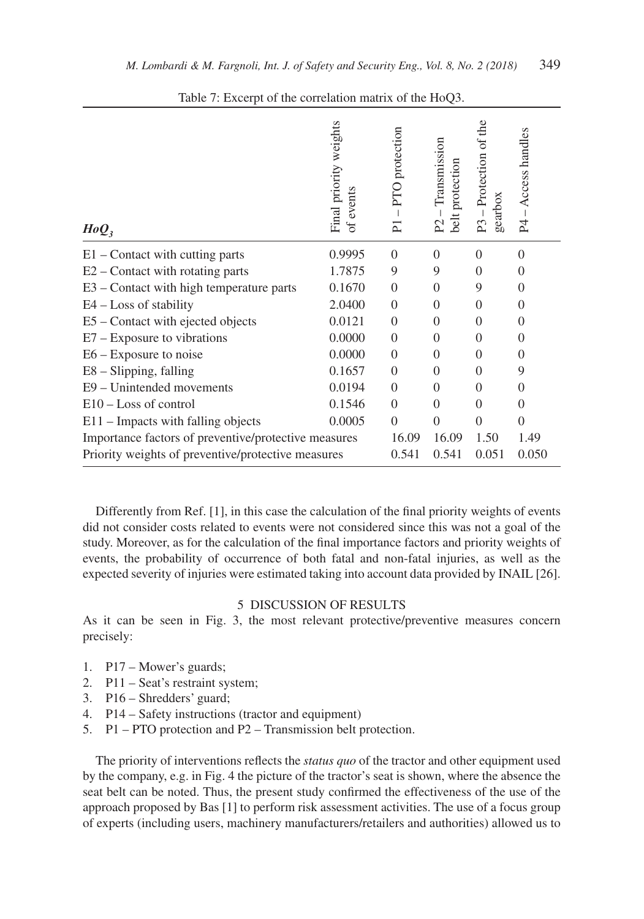| $HoQ_3$                                              | Final priority weights<br>events<br>of. | PTO protection<br>$\overline{\mathsf{P}}$ | Transmission<br>belt protection<br>$\overline{P}$ | - Protection of the<br>gearbox<br>P <sub>3</sub> | Access handles<br>P <sub>4</sub> |
|------------------------------------------------------|-----------------------------------------|-------------------------------------------|---------------------------------------------------|--------------------------------------------------|----------------------------------|
| $E1$ – Contact with cutting parts                    | 0.9995                                  | $\Omega$                                  | $\theta$                                          | $\theta$                                         | $\theta$                         |
| $E2$ – Contact with rotating parts                   | 1.7875                                  | 9                                         | 9                                                 | $\theta$                                         | 0                                |
| E3 – Contact with high temperature parts             | 0.1670                                  | $\Omega$                                  | $\Omega$                                          | 9                                                | 0                                |
| $E4 - Loss$ of stability                             | 2.0400                                  | $\Omega$                                  | $\theta$                                          | $\Omega$                                         | 0                                |
| E5 – Contact with ejected objects                    | 0.0121                                  | $\Omega$                                  | $\Omega$                                          | $\Omega$                                         | 0                                |
| $E7 - Exposure$ to vibrations                        | 0.0000                                  | $\Omega$                                  | $\Omega$                                          | $\Omega$                                         | 0                                |
| $E6 - Exposure$ to noise                             | 0.0000                                  | $\Omega$                                  | $\Omega$                                          | $\Omega$                                         | 0                                |
| E8 - Slipping, falling                               | 0.1657                                  | $\Omega$                                  | $\theta$                                          | $\Omega$                                         | 9                                |
| E9 – Unintended movements                            | 0.0194                                  | $\Omega$                                  | $\theta$                                          | $\Omega$                                         | 0                                |
| $E10 - Loss$ of control                              | 0.1546                                  | $\Omega$                                  | $\theta$                                          | $\theta$                                         | $\Omega$                         |
| $E11$ – Impacts with falling objects                 | 0.0005                                  | $\Omega$                                  | $\theta$                                          | $\Omega$                                         | $\Omega$                         |
| Importance factors of preventive/protective measures | 16.09                                   | 16.09                                     | 1.50                                              | 1.49                                             |                                  |
| Priority weights of preventive/protective measures   | 0.541                                   | 0.541                                     | 0.051                                             | 0.050                                            |                                  |

Table 7: Excerpt of the correlation matrix of the HoQ3.

Differently from Ref. [1], in this case the calculation of the final priority weights of events did not consider costs related to events were not considered since this was not a goal of the study. Moreover, as for the calculation of the final importance factors and priority weights of events, the probability of occurrence of both fatal and non-fatal injuries, as well as the expected severity of injuries were estimated taking into account data provided by INAIL [26].

## 5 DISCUSSION OF RESULTS

As it can be seen in Fig. 3, the most relevant protective/preventive measures concern precisely:

- 1. P17 Mower's guards;
- 2. P11 Seat's restraint system;
- 3. P16 Shredders' guard;
- 4. P14 Safety instructions (tractor and equipment)
- 5. P1 PTO protection and P2 Transmission belt protection.

The priority of interventions reflects the *status quo* of the tractor and other equipment used by the company, e.g. in Fig. 4 the picture of the tractor's seat is shown, where the absence the seat belt can be noted. Thus, the present study confirmed the effectiveness of the use of the approach proposed by Bas [1] to perform risk assessment activities. The use of a focus group of experts (including users, machinery manufacturers/retailers and authorities) allowed us to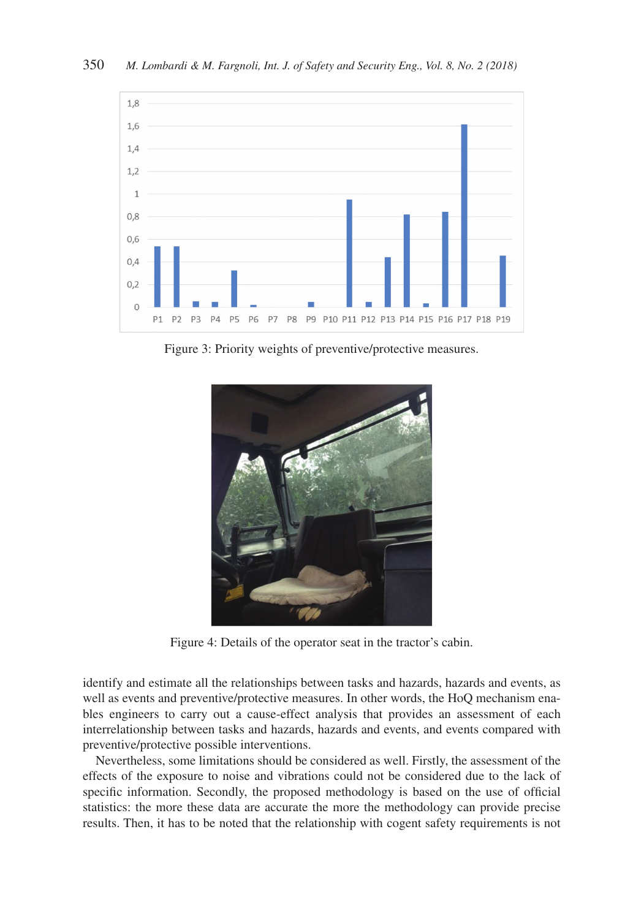

Figure 3: Priority weights of preventive/protective measures.



Figure 4: Details of the operator seat in the tractor's cabin.

identify and estimate all the relationships between tasks and hazards, hazards and events, as well as events and preventive/protective measures. In other words, the HoQ mechanism enables engineers to carry out a cause-effect analysis that provides an assessment of each interrelationship between tasks and hazards, hazards and events, and events compared with preventive/protective possible interventions.

Nevertheless, some limitations should be considered as well. Firstly, the assessment of the effects of the exposure to noise and vibrations could not be considered due to the lack of specific information. Secondly, the proposed methodology is based on the use of official statistics: the more these data are accurate the more the methodology can provide precise results. Then, it has to be noted that the relationship with cogent safety requirements is not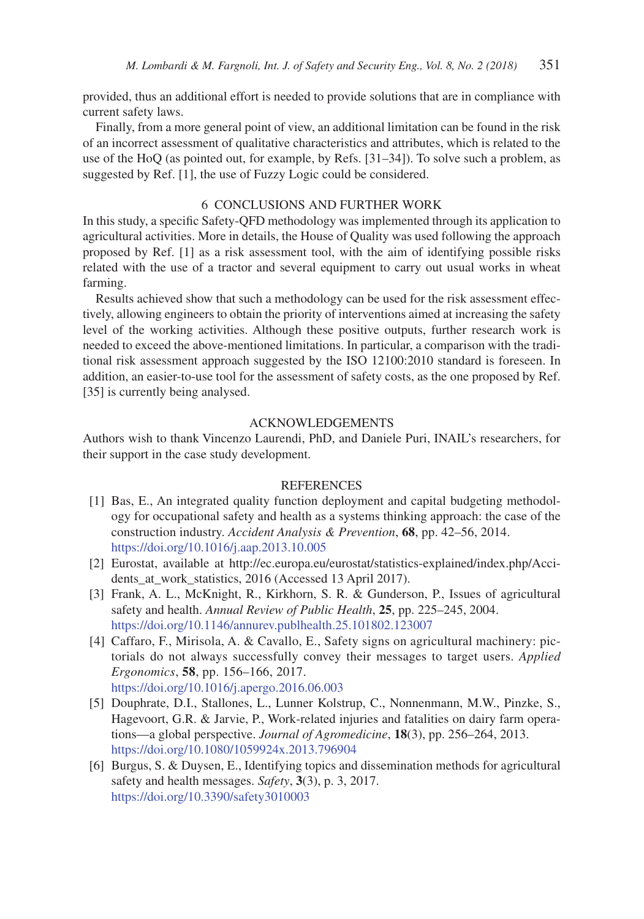provided, thus an additional effort is needed to provide solutions that are in compliance with current safety laws.

Finally, from a more general point of view, an additional limitation can be found in the risk of an incorrect assessment of qualitative characteristics and attributes, which is related to the use of the HoQ (as pointed out, for example, by Refs. [31–34]). To solve such a problem, as suggested by Ref. [1], the use of Fuzzy Logic could be considered.

## 6 CONCLUSIONS AND FURTHER WORK

In this study, a specific Safety-QFD methodology was implemented through its application to agricultural activities. More in details, the House of Quality was used following the approach proposed by Ref. [1] as a risk assessment tool, with the aim of identifying possible risks related with the use of a tractor and several equipment to carry out usual works in wheat farming.

Results achieved show that such a methodology can be used for the risk assessment effectively, allowing engineers to obtain the priority of interventions aimed at increasing the safety level of the working activities. Although these positive outputs, further research work is needed to exceed the above-mentioned limitations. In particular, a comparison with the traditional risk assessment approach suggested by the ISO 12100:2010 standard is foreseen. In addition, an easier-to-use tool for the assessment of safety costs, as the one proposed by Ref. [35] is currently being analysed.

#### ACKNOWLEDGEMENTS

Authors wish to thank Vincenzo Laurendi, PhD, and Daniele Puri, INAIL's researchers, for their support in the case study development.

#### **REFERENCES**

- [1] Bas, E., An integrated quality function deployment and capital budgeting methodology for occupational safety and health as a systems thinking approach: the case of the construction industry. *Accident Analysis & Prevention*, **68**, pp. 42–56, 2014. https://doi.org/10.1016/j.aap.2013.10.005
- [2] Eurostat, available at http://ec.europa.eu/eurostat/statistics-explained/index.php/Accidents\_at\_work\_statistics, 2016 (Accessed 13 April 2017).
- [3] Frank, A. L., McKnight, R., Kirkhorn, S. R. & Gunderson, P., Issues of agricultural safety and health. *Annual Review of Public Health*, **25**, pp. 225–245, 2004. https://doi.org/10.1146/annurev.publhealth.25.101802.123007
- [4] Caffaro, F., Mirisola, A. & Cavallo, E., Safety signs on agricultural machinery: pictorials do not always successfully convey their messages to target users. *Applied Ergonomics*, **58**, pp. 156–166, 2017. https://doi.org/10.1016/j.apergo.2016.06.003
- [5] Douphrate, D.I., Stallones, L., Lunner Kolstrup, C., Nonnenmann, M.W., Pinzke, S., Hagevoort, G.R. & Jarvie, P., Work-related injuries and fatalities on dairy farm operations—a global perspective. *Journal of Agromedicine*, **18**(3), pp. 256–264, 2013. https://doi.org/10.1080/1059924x.2013.796904
- [6] Burgus, S. & Duysen, E., Identifying topics and dissemination methods for agricultural safety and health messages. *Safety*, **3**(3), p. 3, 2017. https://doi.org/10.3390/safety3010003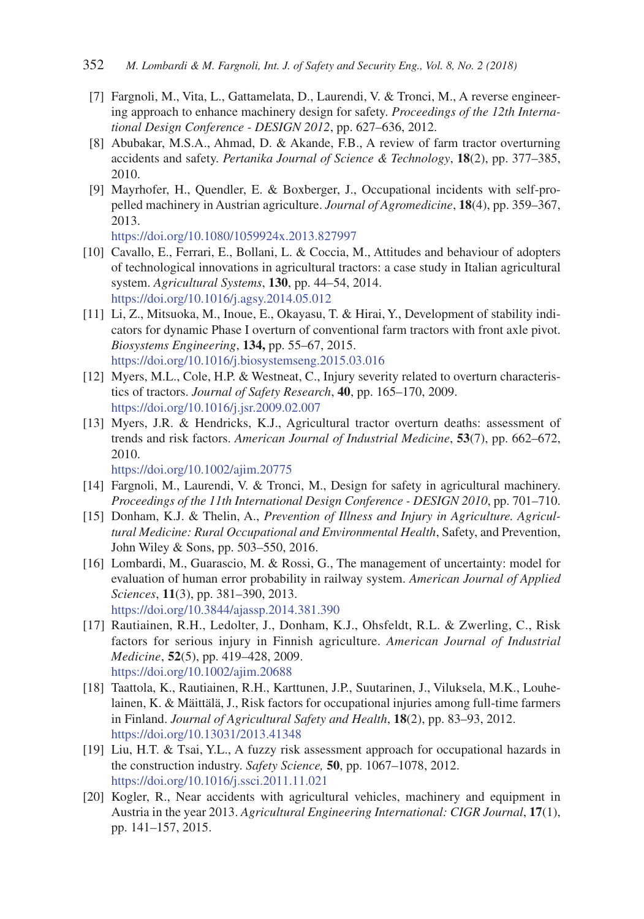- [7] Fargnoli, M., Vita, L., Gattamelata, D., Laurendi, V. & Tronci, M., A reverse engineering approach to enhance machinery design for safety. *Proceedings of the 12th International Design Conference - DESIGN 2012*, pp. 627–636, 2012.
- [8] Abubakar, M.S.A., Ahmad, D. & Akande, F.B., A review of farm tractor overturning accidents and safety. *Pertanika Journal of Science & Technology*, **18**(2), pp. 377–385, 2010.
- [9] Mayrhofer, H., Quendler, E. & Boxberger, J., Occupational incidents with self-propelled machinery in Austrian agriculture. *Journal of Agromedicine*, **18**(4), pp. 359–367, 2013.

https://doi.org/10.1080/1059924x.2013.827997

- [10] Cavallo, E., Ferrari, E., Bollani, L. & Coccia, M., Attitudes and behaviour of adopters of technological innovations in agricultural tractors: a case study in Italian agricultural system. *Agricultural Systems*, **130**, pp. 44–54, 2014. https://doi.org/10.1016/j.agsy.2014.05.012
- [11] Li, Z., Mitsuoka, M., Inoue, E., Okayasu, T. & Hirai, Y., Development of stability indicators for dynamic Phase I overturn of conventional farm tractors with front axle pivot. *Biosystems Engineering*, **134,** pp. 55–67, 2015. https://doi.org/10.1016/j.biosystemseng.2015.03.016
- [12] Myers, M.L., Cole, H.P. & Westneat, C., Injury severity related to overturn characteristics of tractors. *Journal of Safety Research*, **40**, pp. 165–170, 2009. https://doi.org/10.1016/j.jsr.2009.02.007
- [13] Myers, J.R. & Hendricks, K.J., Agricultural tractor overturn deaths: assessment of trends and risk factors. *American Journal of Industrial Medicine*, **53**(7), pp. 662–672, 2010.

https://doi.org/10.1002/ajim.20775

- [14] Fargnoli, M., Laurendi, V. & Tronci, M., Design for safety in agricultural machinery. *Proceedings of the 11th International Design Conference - DESIGN 2010*, pp. 701–710.
- [15] Donham, K.J. & Thelin, A., *Prevention of Illness and Injury in Agriculture. Agricultural Medicine: Rural Occupational and Environmental Health*, Safety, and Prevention, John Wiley & Sons, pp. 503–550, 2016.
- [16] Lombardi, M., Guarascio, M. & Rossi, G., The management of uncertainty: model for evaluation of human error probability in railway system. *American Journal of Applied Sciences*, **11**(3), pp. 381–390, 2013. https://doi.org/10.3844/ajassp.2014.381.390
- [17] Rautiainen, R.H., Ledolter, J., Donham, K.J., Ohsfeldt, R.L. & Zwerling, C., Risk factors for serious injury in Finnish agriculture. *American Journal of Industrial Medicine*, **52**(5), pp. 419–428, 2009. https://doi.org/10.1002/ajim.20688
- [18] Taattola, K., Rautiainen, R.H., Karttunen, J.P., Suutarinen, J., Viluksela, M.K., Louhelainen, K. & Mäittälä, J., Risk factors for occupational injuries among full-time farmers in Finland. *Journal of Agricultural Safety and Health*, **18**(2), pp. 83–93, 2012. https://doi.org/10.13031/2013.41348
- [19] Liu, H.T. & Tsai, Y.L., A fuzzy risk assessment approach for occupational hazards in the construction industry. *Safety Science,* **50**, pp. 1067–1078, 2012. https://doi.org/10.1016/j.ssci.2011.11.021
- [20] Kogler, R., Near accidents with agricultural vehicles, machinery and equipment in Austria in the year 2013. *Agricultural Engineering International: CIGR Journal*, **17**(1), pp. 141–157, 2015.